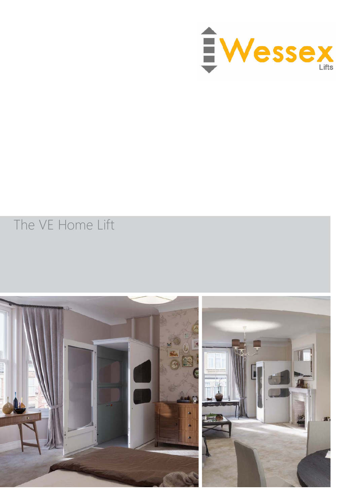

### The VE Home Lift

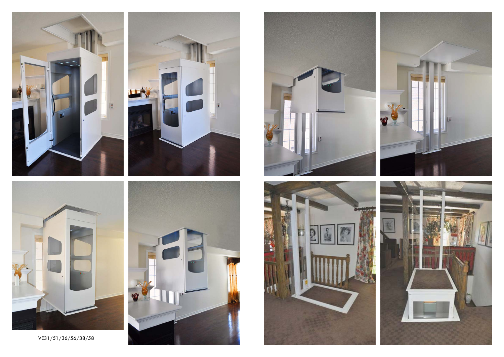





VE31/51/36/56/38/58







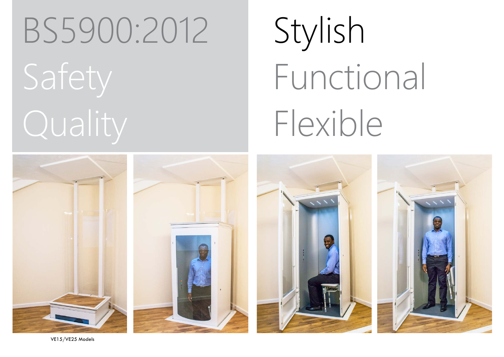### BS5900:2012

Stylish



VE15/VE25 Models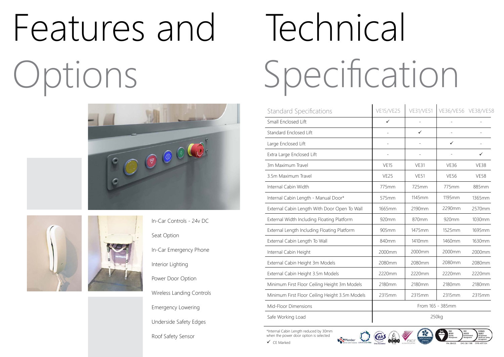# Technical Specification

## Features and Options







In-Car Controls - 24v DC Seat Option In-Car Emergency Phone Interior Lighting Power Door Option Wireless Landing Controls Emergency Lowering Underside Safety Edges

Roof Safety Sensor

\*Internal Cabin Length reduced by 30mm when the power door option is selected



 $\checkmark$  CE Marked



| <b>Standard Specifications</b>                 | <b>VE15/VE25</b>         | <b>VE31/VE51</b> | VE36/VE56 VE38/VE58 |             |
|------------------------------------------------|--------------------------|------------------|---------------------|-------------|
| Small Enclosed Lift                            | $\checkmark$             |                  |                     |             |
| Standard Enclosed Lift                         | $\overline{\phantom{a}}$ | ✓                |                     |             |
| Large Enclosed Lift                            | L,                       |                  | $\checkmark$        |             |
| Extra Large Enclosed Lift                      |                          |                  |                     | ✓           |
| 3m Maximum Travel                              | <b>VE15</b>              | <b>VE31</b>      | <b>VE36</b>         | <b>VE38</b> |
| 3.5m Maximum Travel                            | VE <sub>25</sub>         | <b>VE51</b>      | <b>VE56</b>         | <b>VE58</b> |
| Internal Cabin Width                           | 775mm                    | 725mm            | 775mm               | 885mm       |
| Internal Cabin Length - Manual Door*           | 575mm                    | 1145mm           | 1195mm              | 1365mm      |
| External Cabin Length With Door Open To Wall   | 1665mm                   | 2190mm           | 2290mm              | 2570mm      |
| External Width Including Floating Platform     | 920mm                    | 870mm            | 920mm               | 1030mm      |
| External Length Including Floating Platform    | 905mm                    | 1475mm           | 1525mm              | 1695mm      |
| External Cabin Length To Wall                  | 840mm                    | 1410mm           | 1460mm              | 1630mm      |
| Internal Cabin Height                          | 2000mm                   | 2000mm           | 2000mm              | 2000mm      |
| External Cabin Height 3m Models                | 2080mm                   | 2080mm           | 2080mm              | 2080mm      |
| External Cabin Height 3.5m Models              | 2220mm                   | 2220mm           | 2220mm              | 2220mm      |
| Minimum First Floor Ceiling Height 3m Models   | 2180mm                   | 2180mm           | 2180mm              | 2180mm      |
| Minimum First Floor Ceiling Height 3.5m Models | 2315mm                   | 2315mm           | 2315mm              | 2315mm      |
| Mid-Floor Dimensions                           | From 165 - 385mm         |                  |                     |             |
| Safe Working Load                              | 250kg                    |                  |                     |             |